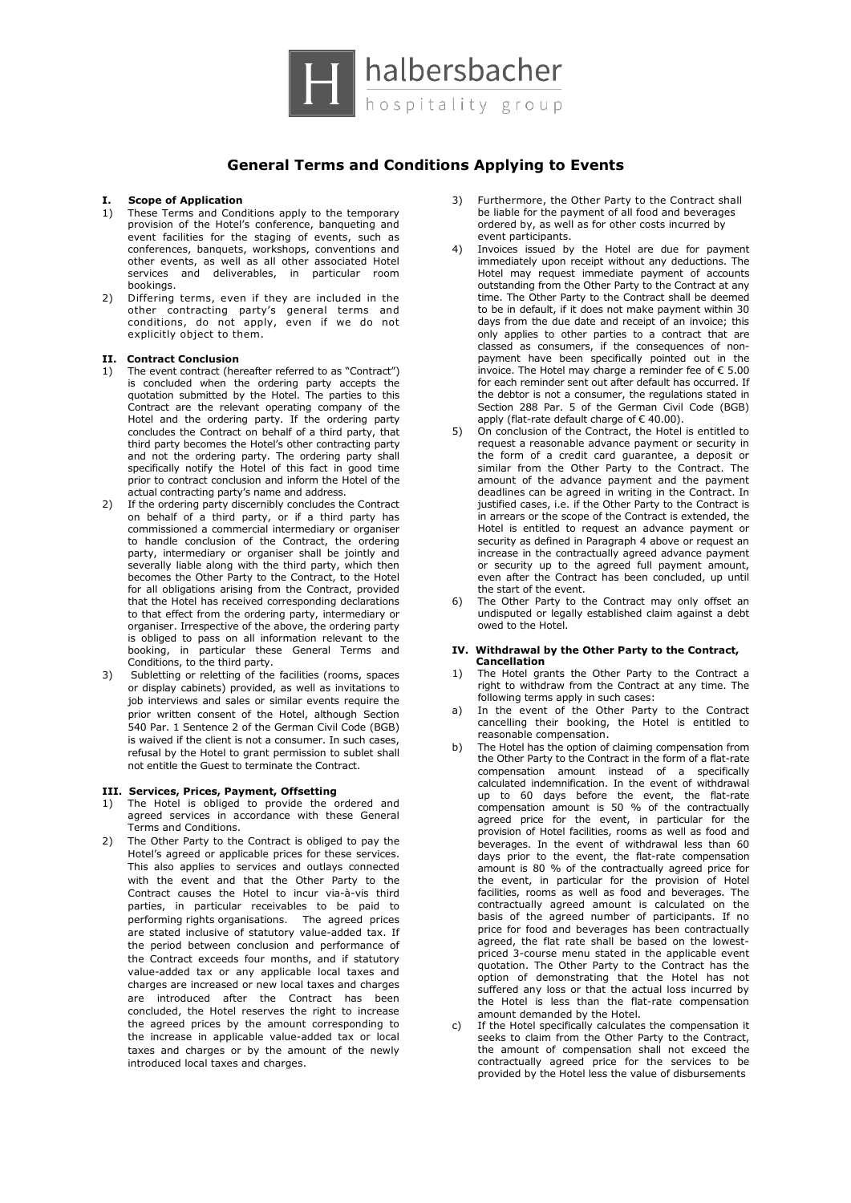

# **General Terms and Conditions Applying to Events**

# **I. Scope of Application**

- 1) These Terms and Conditions apply to the temporary provision of the Hotel's conference, banqueting and event facilities for the staging of events, such as conferences, banquets, workshops, conventions and other events, as well as all other associated Hotel services and deliverables, in particular room bookings.
- 2) Differing terms, even if they are included in the other contracting party's general terms and conditions, do not apply, even if we do not explicitly object to them.

#### **II. Contract Conclusion**

- 1) The event contract (hereafter referred to as "Contract") is concluded when the ordering party accepts the quotation submitted by the Hotel. The parties to this Contract are the relevant operating company of the Hotel and the ordering party. If the ordering party concludes the Contract on behalf of a third party, that third party becomes the Hotel's other contracting party and not the ordering party. The ordering party shall specifically notify the Hotel of this fact in good time prior to contract conclusion and inform the Hotel of the actual contracting party's name and address.
- 2) If the ordering party discernibly concludes the Contract on behalf of a third party, or if a third party has commissioned a commercial intermediary or organiser to handle conclusion of the Contract, the ordering party, intermediary or organiser shall be jointly and severally liable along with the third party, which then becomes the Other Party to the Contract, to the Hotel for all obligations arising from the Contract, provided that the Hotel has received corresponding declarations to that effect from the ordering party, intermediary or organiser. Irrespective of the above, the ordering party is obliged to pass on all information relevant to the booking, in particular these General Terms and Conditions, to the third party.
- 3) Subletting or reletting of the facilities (rooms, spaces or display cabinets) provided, as well as invitations to job interviews and sales or similar events require the prior written consent of the Hotel, although Section 540 Par. 1 Sentence 2 of the German Civil Code (BGB) is waived if the client is not a consumer. In such cases, refusal by the Hotel to grant permission to sublet shall not entitle the Guest to terminate the Contract.

#### **III. Services, Prices, Payment, Offsetting**

- 1) The Hotel is obliged to provide the ordered and agreed services in accordance with these General Terms and Conditions.
- 2) The Other Party to the Contract is obliged to pay the Hotel's agreed or applicable prices for these services. This also applies to services and outlays connected with the event and that the Other Party to the Contract causes the Hotel to incur via-à-vis third parties, in particular receivables to be paid to performing rights organisations. The agreed prices are stated inclusive of statutory value-added tax. If the period between conclusion and performance of the Contract exceeds four months, and if statutory value-added tax or any applicable local taxes and charges are increased or new local taxes and charges are introduced after the Contract has been concluded, the Hotel reserves the right to increase the agreed prices by the amount corresponding to the increase in applicable value-added tax or local taxes and charges or by the amount of the newly introduced local taxes and charges.
- 3) Furthermore, the Other Party to the Contract shall be liable for the payment of all food and beverages ordered by, as well as for other costs incurred by event participants.
- 4) Invoices issued by the Hotel are due for payment immediately upon receipt without any deductions. The Hotel may request immediate payment of accounts outstanding from the Other Party to the Contract at any time. The Other Party to the Contract shall be deemed to be in default, if it does not make payment within 30 days from the due date and receipt of an invoice; this only applies to other parties to a contract that are classed as consumers, if the consequences of nonpayment have been specifically pointed out in the invoice. The Hotel may charge a reminder fee of € 5.00 for each reminder sent out after default has occurred. If the debtor is not a consumer, the regulations stated in Section 288 Par. 5 of the German Civil Code (BGB) apply (flat-rate default charge of € 40.00).
- 5) On conclusion of the Contract, the Hotel is entitled to request a reasonable advance payment or security in the form of a credit card guarantee, a deposit or similar from the Other Party to the Contract. The amount of the advance payment and the payment deadlines can be agreed in writing in the Contract. In justified cases, i.e. if the Other Party to the Contract is in arrears or the scope of the Contract is extended, the Hotel is entitled to request an advance payment or security as defined in Paragraph 4 above or request an increase in the contractually agreed advance payment or security up to the agreed full payment amount, even after the Contract has been concluded, up until the start of the event.
- 6) The Other Party to the Contract may only offset an undisputed or legally established claim against a debt owed to the Hotel.

# **IV. Withdrawal by the Other Party to the Contract,**

- **Cancellation**<br>1) The Hotel ora The Hotel grants the Other Party to the Contract a right to withdraw from the Contract at any time. The following terms apply in such cases:
- a) In the event of the Other Party to the Contract cancelling their booking, the Hotel is entitled to reasonable compensation.
- b) The Hotel has the option of claiming compensation from the Other Party to the Contract in the form of a flat-rate compensation amount instead of a specifically calculated indemnification. In the event of withdrawal up to 60 days before the event, the flat-rate compensation amount is 50 % of the contractually agreed price for the event, in particular for the provision of Hotel facilities, rooms as well as food and beverages. In the event of withdrawal less than 60 days prior to the event, the flat-rate compensation amount is 80 % of the contractually agreed price for the event, in particular for the provision of Hotel facilities, rooms as well as food and beverages. The contractually agreed amount is calculated on the basis of the agreed number of participants. If no price for food and beverages has been contractually agreed, the flat rate shall be based on the lowestpriced 3-course menu stated in the applicable event quotation. The Other Party to the Contract has the option of demonstrating that the Hotel has not suffered any loss or that the actual loss incurred by the Hotel is less than the flat-rate compensation amount demanded by the Hotel.
- If the Hotel specifically calculates the compensation it seeks to claim from the Other Party to the Contract, the amount of compensation shall not exceed the contractually agreed price for the services to be provided by the Hotel less the value of disbursements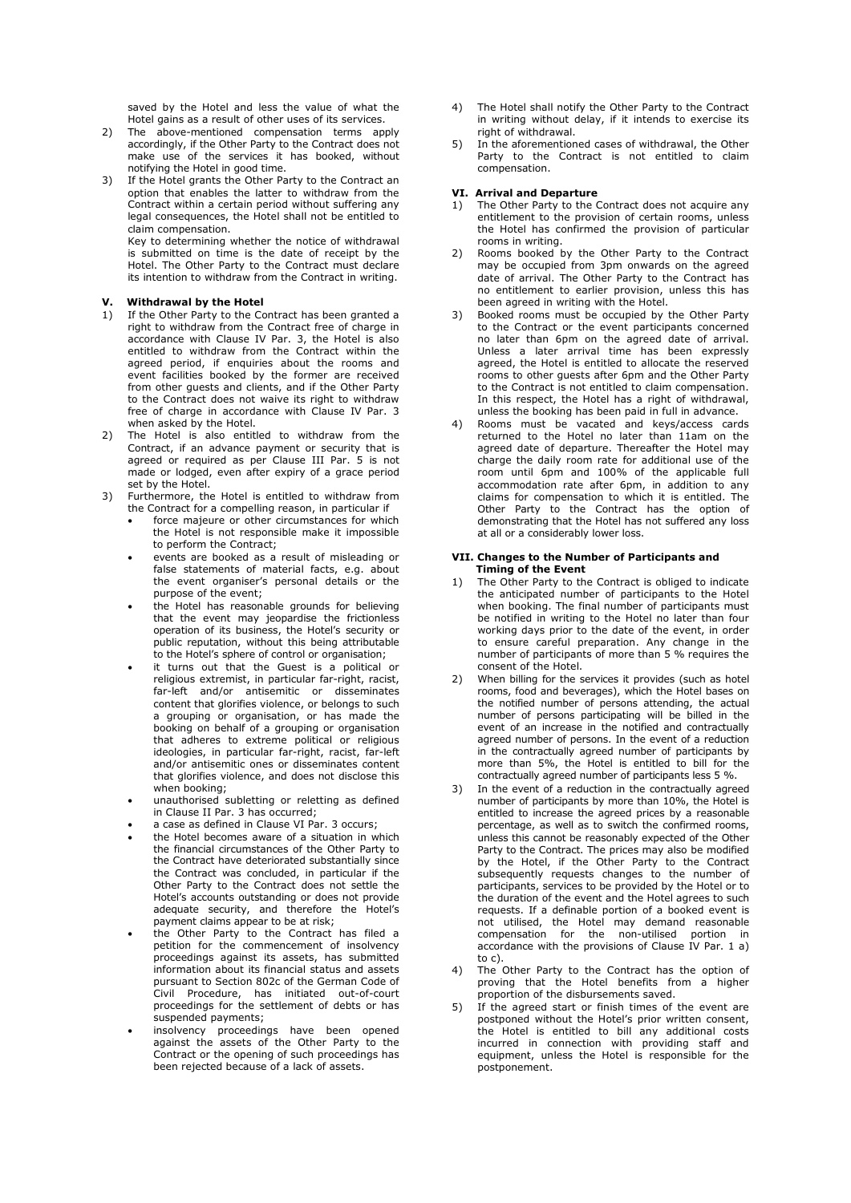saved by the Hotel and less the value of what the Hotel gains as a result of other uses of its services.

- 2) The above-mentioned compensation terms apply accordingly, if the Other Party to the Contract does not make use of the services it has booked, without notifying the Hotel in good time.
- 3) If the Hotel grants the Other Party to the Contract an option that enables the latter to withdraw from the Contract within a certain period without suffering any legal consequences, the Hotel shall not be entitled to claim compensation.

Key to determining whether the notice of withdrawal is submitted on time is the date of receipt by the Hotel. The Other Party to the Contract must declare its intention to withdraw from the Contract in writing.

# **V. Withdrawal by the Hotel**

- 1) If the Other Party to the Contract has been granted a right to withdraw from the Contract free of charge in accordance with Clause IV Par. 3, the Hotel is also entitled to withdraw from the Contract within the agreed period, if enquiries about the rooms and event facilities booked by the former are received from other guests and clients, and if the Other Party to the Contract does not waive its right to withdraw free of charge in accordance with Clause IV Par. 3 when asked by the Hotel.
- 2) The Hotel is also entitled to withdraw from the Contract, if an advance payment or security that is agreed or required as per Clause III Par. 5 is not made or lodged, even after expiry of a grace period set by the Hotel.
- 3) Furthermore, the Hotel is entitled to withdraw from the Contract for a compelling reason, in particular if
	- force majeure or other circumstances for which the Hotel is not responsible make it impossible to perform the Contract;
	- events are booked as a result of misleading or false statements of material facts, e.g. about the event organiser's personal details or the purpose of the event;
	- the Hotel has reasonable grounds for believing that the event may jeopardise the frictionless operation of its business, the Hotel's security or public reputation, without this being attributable to the Hotel's sphere of control or organisation;
	- it turns out that the Guest is a political or religious extremist, in particular far-right, racist, far-left and/or antisemitic or disseminates content that glorifies violence, or belongs to such a grouping or organisation, or has made the booking on behalf of a grouping or organisation that adheres to extreme political or religious ideologies, in particular far-right, racist, far-left and/or antisemitic ones or disseminates content that glorifies violence, and does not disclose this when booking;
	- unauthorised subletting or reletting as defined in Clause II Par. 3 has occurred;
	- a case as defined in Clause VI Par. 3 occurs;
	- the Hotel becomes aware of a situation in which the financial circumstances of the Other Party to the Contract have deteriorated substantially since the Contract was concluded, in particular if the Other Party to the Contract does not settle the Hotel's accounts outstanding or does not provide adequate security, and therefore the Hotel's payment claims appear to be at risk;
	- the Other Party to the Contract has filed a petition for the commencement of insolvency proceedings against its assets, has submitted information about its financial status and assets pursuant to Section 802c of the German Code of Civil Procedure, has initiated out-of-court proceedings for the settlement of debts or has suspended payments;
	- insolvency proceedings have been opened against the assets of the Other Party to the Contract or the opening of such proceedings has been rejected because of a lack of assets.
- The Hotel shall notify the Other Party to the Contract in writing without delay, if it intends to exercise its right of withdrawal.
- 5) In the aforementioned cases of withdrawal, the Other Party to the Contract is not entitled to claim compensation.

#### **VI. Arrival and Departure**

- 1) The Other Party to the Contract does not acquire any entitlement to the provision of certain rooms, unless the Hotel has confirmed the provision of particular rooms in writing.
- 2) Rooms booked by the Other Party to the Contract may be occupied from 3pm onwards on the agreed date of arrival. The Other Party to the Contract has no entitlement to earlier provision, unless this has been agreed in writing with the Hotel.
- 3) Booked rooms must be occupied by the Other Party to the Contract or the event participants concerned no later than 6pm on the agreed date of arrival. Unless a later arrival time has been expressly agreed, the Hotel is entitled to allocate the reserved rooms to other guests after 6pm and the Other Party to the Contract is not entitled to claim compensation. In this respect, the Hotel has a right of withdrawal, unless the booking has been paid in full in advance.
- 4) Rooms must be vacated and keys/access cards returned to the Hotel no later than 11am on the agreed date of departure. Thereafter the Hotel may charge the daily room rate for additional use of the room until 6pm and 100% of the applicable full accommodation rate after 6pm, in addition to any claims for compensation to which it is entitled. The Other Party to the Contract has the option of demonstrating that the Hotel has not suffered any loss at all or a considerably lower loss.

#### **VII. Changes to the Number of Participants and Timing of the Event**

- 1) The Other Party to the Contract is obliged to indicate the anticipated number of participants to the Hotel when booking. The final number of participants must be notified in writing to the Hotel no later than four working days prior to the date of the event, in order to ensure careful preparation. Any change in the number of participants of more than 5 % requires the consent of the Hotel.
- 2) When billing for the services it provides (such as hotel rooms, food and beverages), which the Hotel bases on the notified number of persons attending, the actual number of persons participating will be billed in the event of an increase in the notified and contractually agreed number of persons. In the event of a reduction in the contractually agreed number of participants by more than 5%, the Hotel is entitled to bill for the contractually agreed number of participants less 5 %.
- 3) In the event of a reduction in the contractually agreed number of participants by more than 10%, the Hotel is entitled to increase the agreed prices by a reasonable percentage, as well as to switch the confirmed rooms, unless this cannot be reasonably expected of the Other Party to the Contract. The prices may also be modified by the Hotel, if the Other Party to the Contract subsequently requests changes to the number of participants, services to be provided by the Hotel or to the duration of the event and the Hotel agrees to such requests. If a definable portion of a booked event is not utilised, the Hotel may demand reasonable compensation for the non-utilised portion in accordance with the provisions of Clause IV Par. 1 a) to c).
- 4) The Other Party to the Contract has the option of proving that the Hotel benefits from a higher proportion of the disbursements saved.
- 5) If the agreed start or finish times of the event are postponed without the Hotel's prior written consent, the Hotel is entitled to bill any additional costs incurred in connection with providing staff and equipment, unless the Hotel is responsible for the postponement.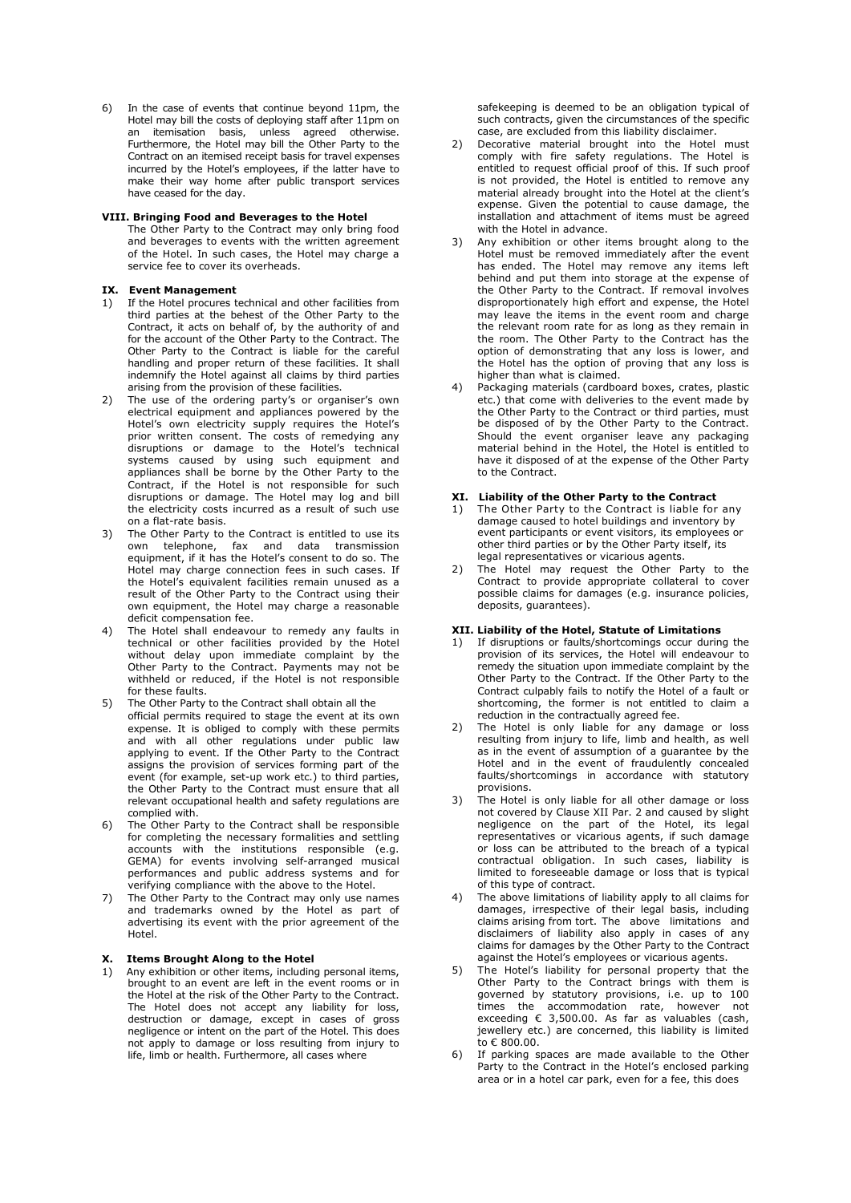6) In the case of events that continue beyond 11pm, the Hotel may bill the costs of deploying staff after 11pm on an itemisation basis, unless agreed otherwise. Furthermore, the Hotel may bill the Other Party to the Contract on an itemised receipt basis for travel expenses incurred by the Hotel's employees, if the latter have to make their way home after public transport services have ceased for the day.

#### **VIII. Bringing Food and Beverages to the Hotel**

The Other Party to the Contract may only bring food and beverages to events with the written agreement of the Hotel. In such cases, the Hotel may charge a service fee to cover its overheads.

#### **IX. Event Management**

- If the Hotel procures technical and other facilities from third parties at the behest of the Other Party to the Contract, it acts on behalf of, by the authority of and for the account of the Other Party to the Contract. The Other Party to the Contract is liable for the careful handling and proper return of these facilities. It shall indemnify the Hotel against all claims by third parties arising from the provision of these facilities.
- 2) The use of the ordering party's or organiser's own electrical equipment and appliances powered by the Hotel's own electricity supply requires the Hotel's prior written consent. The costs of remedying any disruptions or damage to the Hotel's technical systems caused by using such equipment and appliances shall be borne by the Other Party to the Contract, if the Hotel is not responsible for such disruptions or damage. The Hotel may log and bill the electricity costs incurred as a result of such use on a flat-rate basis.
- 3) The Other Party to the Contract is entitled to use its<br>
own telephone fax and data transmission  $telephone$ , fax and data transmission equipment, if it has the Hotel's consent to do so. The Hotel may charge connection fees in such cases. If the Hotel's equivalent facilities remain unused as a result of the Other Party to the Contract using their own equipment, the Hotel may charge a reasonable deficit compensation fee.
- 4) The Hotel shall endeavour to remedy any faults in technical or other facilities provided by the Hotel without delay upon immediate complaint by the Other Party to the Contract. Payments may not be withheld or reduced, if the Hotel is not responsible for these faults.
- 5) The Other Party to the Contract shall obtain all the official permits required to stage the event at its own expense. It is obliged to comply with these permits and with all other regulations under public law applying to event. If the Other Party to the Contract assigns the provision of services forming part of the event (for example, set-up work etc.) to third parties, the Other Party to the Contract must ensure that all relevant occupational health and safety regulations are complied with.
- 6) The Other Party to the Contract shall be responsible for completing the necessary formalities and settling accounts with the institutions responsible (e.g. GEMA) for events involving self-arranged musical performances and public address systems and for verifying compliance with the above to the Hotel.
- 7) The Other Party to the Contract may only use names and trademarks owned by the Hotel as part of advertising its event with the prior agreement of the Hotel.

## **X. Items Brought Along to the Hotel**

1) Any exhibition or other items, including personal items, brought to an event are left in the event rooms or in the Hotel at the risk of the Other Party to the Contract. The Hotel does not accept any liability for loss, destruction or damage, except in cases of gross negligence or intent on the part of the Hotel. This does not apply to damage or loss resulting from injury to life, limb or health. Furthermore, all cases where

safekeeping is deemed to be an obligation typical of such contracts, given the circumstances of the specific case, are excluded from this liability disclaimer.

- Decorative material brought into the Hotel must comply with fire safety regulations. The Hotel is entitled to request official proof of this. If such proof is not provided, the Hotel is entitled to remove any material already brought into the Hotel at the client's expense. Given the potential to cause damage, the installation and attachment of items must be agreed with the Hotel in advance.
- 3) Any exhibition or other items brought along to the Hotel must be removed immediately after the event has ended. The Hotel may remove any items left behind and put them into storage at the expense of the Other Party to the Contract. If removal involves disproportionately high effort and expense, the Hotel may leave the items in the event room and charge the relevant room rate for as long as they remain in the room. The Other Party to the Contract has the option of demonstrating that any loss is lower, and the Hotel has the option of proving that any loss is higher than what is claimed.
- 4) Packaging materials (cardboard boxes, crates, plastic etc.) that come with deliveries to the event made by the Other Party to the Contract or third parties, must be disposed of by the Other Party to the Contract. Should the event organiser leave any packaging material behind in the Hotel, the Hotel is entitled to have it disposed of at the expense of the Other Party to the Contract.

# **XI. Liability of the Other Party to the Contract**

- 1) The Other Party to the Contract is liable for any damage caused to hotel buildings and inventory by event participants or event visitors, its employees or other third parties or by the Other Party itself, its legal representatives or vicarious agents.
- 2) The Hotel may request the Other Party to the Contract to provide appropriate collateral to cover possible claims for damages (e.g. insurance policies, deposits, guarantees).

### **XII. Liability of the Hotel, Statute of Limitations**

- If disruptions or faults/shortcomings occur during the provision of its services, the Hotel will endeavour to remedy the situation upon immediate complaint by the Other Party to the Contract. If the Other Party to the Contract culpably fails to notify the Hotel of a fault or shortcoming, the former is not entitled to claim a reduction in the contractually agreed fee.
- The Hotel is only liable for any damage or loss resulting from injury to life, limb and health, as well as in the event of assumption of a guarantee by the Hotel and in the event of fraudulently concealed faults/shortcomings in accordance with statutory provisions.
- 3) The Hotel is only liable for all other damage or loss not covered by Clause XII Par. 2 and caused by slight negligence on the part of the Hotel, its legal representatives or vicarious agents, if such damage or loss can be attributed to the breach of a typical contractual obligation. In such cases, liability is limited to foreseeable damage or loss that is typical of this type of contract.
- 4) The above limitations of liability apply to all claims for damages, irrespective of their legal basis, including claims arising from tort. The above limitations and disclaimers of liability also apply in cases of any claims for damages by the Other Party to the Contract against the Hotel's employees or vicarious agents.
- 5) The Hotel's liability for personal property that the Other Party to the Contract brings with them is governed by statutory provisions, i.e. up to 100 times the accommodation rate, however not exceeding  $\epsilon$  3,500.00. As far as valuables (cash, jewellery etc.) are concerned, this liability is limited  $to \epsilon$  800.00.
- If parking spaces are made available to the Other Party to the Contract in the Hotel's enclosed parking area or in a hotel car park, even for a fee, this does